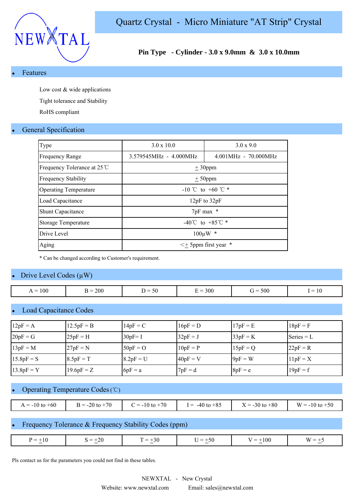

## **Pin Type - Cylinder - 3.0 x 9.0mm & 3.0 x 10.0mm**

#### **Features**

Low cost & wide applications

Tight tolerance and Stability

RoHS compliant

## **General Specification**

| Type                         | $3.0 \times 10.0$           | $3.0 \times 9.0$       |  |  |  |  |
|------------------------------|-----------------------------|------------------------|--|--|--|--|
| <b>Frequency Range</b>       | 3.579545MHz - 4.000MHz      | $4.001MHz - 70.000MHz$ |  |  |  |  |
| Frequency Tolerance at 25 ℃  | $\pm$ 30ppm                 |                        |  |  |  |  |
| <b>Frequency Stability</b>   |                             | $± 50$ ppm             |  |  |  |  |
| <b>Operating Temperature</b> | -10 °C to +60 °C $*$        |                        |  |  |  |  |
| Load Capacitance             | 12 $pF$ to 32 $pF$          |                        |  |  |  |  |
| <b>Shunt Capacitance</b>     | 7pF max *                   |                        |  |  |  |  |
| <b>Storage Temperature</b>   | -40°C to +85°C $*$          |                        |  |  |  |  |
| Drive Level                  | $100 \mu W$<br>*            |                        |  |  |  |  |
| Aging                        | $\lt$ + 5ppm first year $*$ |                        |  |  |  |  |

\* Can be changed according to Customer's requirement.

## Drive Level Codes  $(\mu W)$

| $\epsilon$<br>∽                                                                                                                                                                |  |
|--------------------------------------------------------------------------------------------------------------------------------------------------------------------------------|--|
| $= 300$<br>100<br>200<br>$= 500$<br>$\mathsf{R} =$<br>$\dot{r} =$<br>$\overline{\phantom{0}}$<br>$=$<br>50<br>$\overline{\phantom{a}}$<br>1 U<br>$\overline{\phantom{a}}$<br>∸ |  |

## **Load Capacitance Codes**

| $12pF = A$   | $12.5pF = B$ | $14pF = C$  | $16pF = D$ | $17pF = E$ | $18pF = F$   |
|--------------|--------------|-------------|------------|------------|--------------|
| $20pF = G$   | $25pF = H$   | $30pF = 1$  | $32pF = J$ | $33pF = K$ | Series $= L$ |
| $13pF = M$   | $27pF = N$   | $50pF = O$  | $10pF = P$ | $15pF = Q$ | $22pF = R$   |
| $15.8pF = S$ | $8.5pF = T$  | $8.2pF = U$ | $40pF = V$ | $9pF = W$  | $11pF = X$   |
| $13.8pF = Y$ | $19.6pF = Z$ | $6pF = a$   | $7pF = d$  | $8pF = e$  | $19pF = f$   |

## Operating Temperature Codes (℃)

| $A = -10$ to $+60$ | $= -20$ to $+70$ | $= -10$ to $+70$ | $-40$ to $+85$<br>$=$ | $X = -30$ to $+80$<br>$\mathbf{v}$ | $W = -10$ to $+50$ |
|--------------------|------------------|------------------|-----------------------|------------------------------------|--------------------|

## Frequency Tolerance & Frequency Stability Codes (ppm)

| $\pm 10$<br>$\bm{\nu}$ $-$<br>$\overline{\phantom{a}}$ | 26<br>—<br>- -<br>∼<br>$\sim$ | $\overline{\phantom{0}}$<br>$\overline{\phantom{a}}$<br>DV.<br>$\sim$ | $_{\rm 50}$<br>$-$ | $-100$<br>$\sim$ | AM.<br>$\overline{\phantom{a}}$ |
|--------------------------------------------------------|-------------------------------|-----------------------------------------------------------------------|--------------------|------------------|---------------------------------|

Pls contact us for the parameters you could not find in these tables.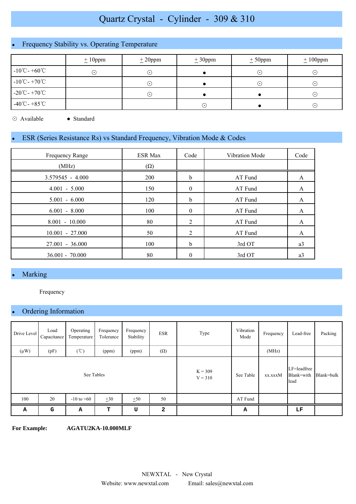# Quartz Crystal - Cylinder - 309 & 310

# Frequency Stability vs. Operating Temperature

|                                    | $\pm 10$ ppm | $\pm 20$ ppm               | $\pm 30$ ppm | $\pm 50$ ppm | $\pm 100$ ppm |
|------------------------------------|--------------|----------------------------|--------------|--------------|---------------|
| $-10^{\circ}$ C - +60 $^{\circ}$ C | ⊙            | ∩                          |              | ∙            | $(\cdot)$     |
| $-10^{\circ}$ C - $+70^{\circ}$ C  |              | $(\,\boldsymbol{\cdot}\,)$ |              | ∙            | $(\cdot)$     |
| $-20^{\circ}$ C - $+70^{\circ}$ C  |              | $(\boldsymbol{\cdot})$     |              |              | $(\cdot)$     |
| $-40^{\circ}$ C - $+85^{\circ}$ C  |              |                            | $(\bullet)$  |              | $(\cdot)$     |

⊙ Available ● Standard

## ESR (Series Resistance Rs) vs Standard Frequency, Vibration Mode & Codes

| Frequency Range    | <b>ESR Max</b> | Code     | Vibration Mode | Code |
|--------------------|----------------|----------|----------------|------|
| (MHz)              | $(\Omega)$     |          |                |      |
| $3.579545 - 4.000$ | 200            | b        | AT Fund        | A    |
| $4.001 - 5.000$    | 150            | $\theta$ | AT Fund        | A    |
| $5.001 - 6.000$    | 120            | b        | AT Fund        | A    |
| $6.001 - 8.000$    | 100            | $\theta$ | AT Fund        | A    |
| $8.001 - 10.000$   | 80             | 2        | AT Fund        | A    |
| $10.001 - 27.000$  | 50             | 2        | AT Fund        | A    |
| 27.001 - 36.000    | 100            | b        | 3rd OT         | a3   |
| $36.001 - 70.000$  | 80             | 0        | 3rd OT         | a3   |

# Marking

Frequency

## Ordering Information

| Drive Level | Load<br>Capacitance | Operating<br>Temperature | Frequency<br>Tolerance | Frequency<br>Stability | <b>ESR</b> | Type    | Vibration<br>Mode                 | Frequency  | Lead-free | Packing |
|-------------|---------------------|--------------------------|------------------------|------------------------|------------|---------|-----------------------------------|------------|-----------|---------|
| $(\mu W)$   | (pF)                | $(\degree C)$            | (ppm)                  | (ppm)                  | $(\Omega)$ |         |                                   | (MHz)      |           |         |
| See Tables  |                     |                          |                        | $K = 309$<br>$V = 310$ | See Table  | xx.xxxM | LF=leadfree<br>Blank=with<br>lead | Blank=bulk |           |         |
| 100         | 20                  | $-10$ to $+60$           | $\pm 30$               | ±50                    | 50         |         | AT Fund                           |            |           |         |
| Α           | G                   | А                        | т                      | U                      | 2          |         | А                                 |            | LF        |         |

**For Example: AGATU2KA-10.000MLF**